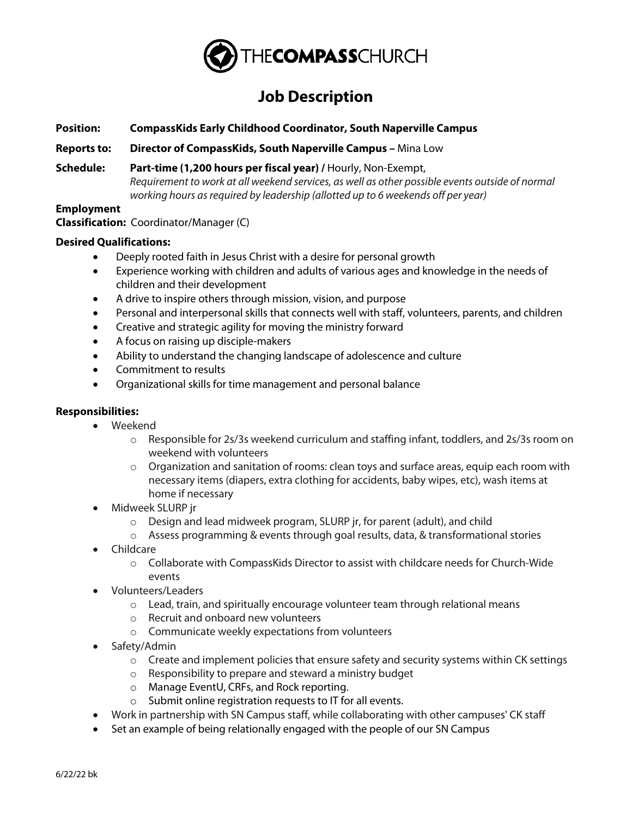

# **Job Description**

**Position: CompassKids Early Childhood Coordinator, South Naperville Campus**

**Reports to: Director of CompassKids, South Naperville Campus –** Mina Low

**Schedule: Part-time (1,200 hours per fiscal year) /** Hourly, Non-Exempt, *Requirement to work at all weekend services, as well as other possible events outside of normal working hours as required by leadership (allotted up to 6 weekends off per year)*

## **Employment**

**Classification:** Coordinator/Manager (C)

## **Desired Qualifications:**

- Deeply rooted faith in Jesus Christ with a desire for personal growth
- Experience working with children and adults of various ages and knowledge in the needs of children and their development
- A drive to inspire others through mission, vision, and purpose
- Personal and interpersonal skills that connects well with staff, volunteers, parents, and children
- Creative and strategic agility for moving the ministry forward
- A focus on raising up disciple-makers
- Ability to understand the changing landscape of adolescence and culture
- Commitment to results
- Organizational skills for time management and personal balance

## **Responsibilities:**

- Weekend
	- $\circ$  Responsible for 2s/3s weekend curriculum and staffing infant, toddlers, and 2s/3s room on weekend with volunteers
	- $\circ$  Organization and sanitation of rooms: clean toys and surface areas, equip each room with necessary items (diapers, extra clothing for accidents, baby wipes, etc), wash items at home if necessary
- Midweek SLURP jr
	- o Design and lead midweek program, SLURP jr, for parent (adult), and child
	- $\circ$  Assess programming & events through goal results, data, & transformational stories
- Childcare
	- o Collaborate with CompassKids Director to assist with childcare needs for Church-Wide events
- Volunteers/Leaders
	- $\circ$  Lead, train, and spiritually encourage volunteer team through relational means
	- o Recruit and onboard new volunteers
	- o Communicate weekly expectations from volunteers
- Safety/Admin
	- $\circ$  Create and implement policies that ensure safety and security systems within CK settings
	- o Responsibility to prepare and steward a ministry budget
	- o Manage EventU, CRFs, and Rock reporting.
	- o Submit online registration requests to IT for all events.
- Work in partnership with SN Campus staff, while collaborating with other campuses' CK staff
- Set an example of being relationally engaged with the people of our SN Campus